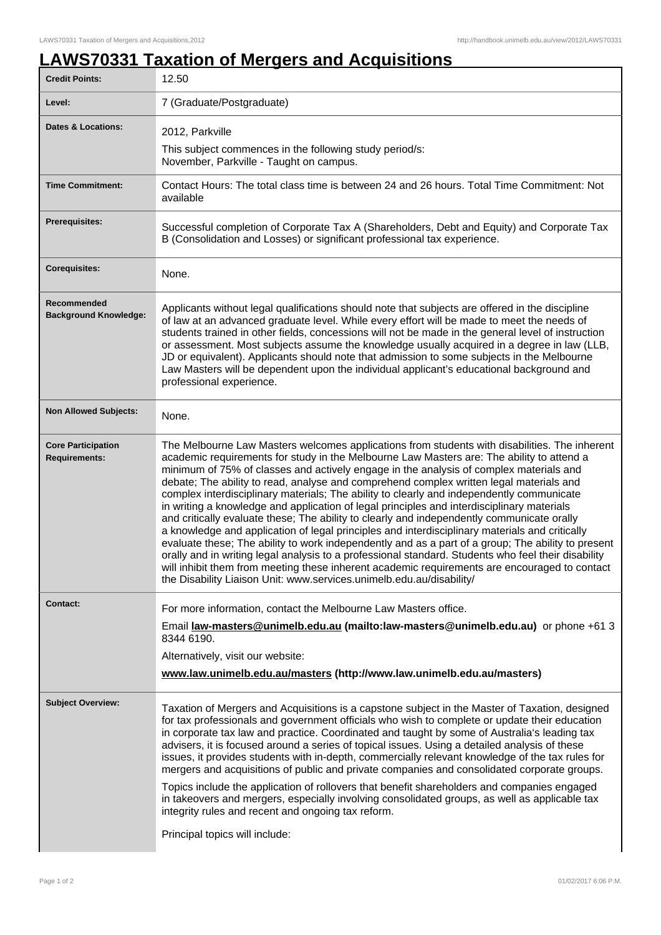## **LAWS70331 Taxation of Mergers and Acquisitions**

| <b>Credit Points:</b>                             | 12.50                                                                                                                                                                                                                                                                                                                                                                                                                                                                                                                                                                                                                                                                                                                                                                                                                                                                                                                                                                                                                                                                                                                                                            |
|---------------------------------------------------|------------------------------------------------------------------------------------------------------------------------------------------------------------------------------------------------------------------------------------------------------------------------------------------------------------------------------------------------------------------------------------------------------------------------------------------------------------------------------------------------------------------------------------------------------------------------------------------------------------------------------------------------------------------------------------------------------------------------------------------------------------------------------------------------------------------------------------------------------------------------------------------------------------------------------------------------------------------------------------------------------------------------------------------------------------------------------------------------------------------------------------------------------------------|
| Level:                                            | 7 (Graduate/Postgraduate)                                                                                                                                                                                                                                                                                                                                                                                                                                                                                                                                                                                                                                                                                                                                                                                                                                                                                                                                                                                                                                                                                                                                        |
| <b>Dates &amp; Locations:</b>                     | 2012, Parkville                                                                                                                                                                                                                                                                                                                                                                                                                                                                                                                                                                                                                                                                                                                                                                                                                                                                                                                                                                                                                                                                                                                                                  |
|                                                   | This subject commences in the following study period/s:<br>November, Parkville - Taught on campus.                                                                                                                                                                                                                                                                                                                                                                                                                                                                                                                                                                                                                                                                                                                                                                                                                                                                                                                                                                                                                                                               |
| <b>Time Commitment:</b>                           | Contact Hours: The total class time is between 24 and 26 hours. Total Time Commitment: Not<br>available                                                                                                                                                                                                                                                                                                                                                                                                                                                                                                                                                                                                                                                                                                                                                                                                                                                                                                                                                                                                                                                          |
| Prerequisites:                                    | Successful completion of Corporate Tax A (Shareholders, Debt and Equity) and Corporate Tax<br>B (Consolidation and Losses) or significant professional tax experience.                                                                                                                                                                                                                                                                                                                                                                                                                                                                                                                                                                                                                                                                                                                                                                                                                                                                                                                                                                                           |
| <b>Corequisites:</b>                              | None.                                                                                                                                                                                                                                                                                                                                                                                                                                                                                                                                                                                                                                                                                                                                                                                                                                                                                                                                                                                                                                                                                                                                                            |
| Recommended<br><b>Background Knowledge:</b>       | Applicants without legal qualifications should note that subjects are offered in the discipline<br>of law at an advanced graduate level. While every effort will be made to meet the needs of<br>students trained in other fields, concessions will not be made in the general level of instruction<br>or assessment. Most subjects assume the knowledge usually acquired in a degree in law (LLB,<br>JD or equivalent). Applicants should note that admission to some subjects in the Melbourne<br>Law Masters will be dependent upon the individual applicant's educational background and<br>professional experience.                                                                                                                                                                                                                                                                                                                                                                                                                                                                                                                                         |
| <b>Non Allowed Subjects:</b>                      | None.                                                                                                                                                                                                                                                                                                                                                                                                                                                                                                                                                                                                                                                                                                                                                                                                                                                                                                                                                                                                                                                                                                                                                            |
| <b>Core Participation</b><br><b>Requirements:</b> | The Melbourne Law Masters welcomes applications from students with disabilities. The inherent<br>academic requirements for study in the Melbourne Law Masters are: The ability to attend a<br>minimum of 75% of classes and actively engage in the analysis of complex materials and<br>debate; The ability to read, analyse and comprehend complex written legal materials and<br>complex interdisciplinary materials; The ability to clearly and independently communicate<br>in writing a knowledge and application of legal principles and interdisciplinary materials<br>and critically evaluate these; The ability to clearly and independently communicate orally<br>a knowledge and application of legal principles and interdisciplinary materials and critically<br>evaluate these; The ability to work independently and as a part of a group; The ability to present<br>orally and in writing legal analysis to a professional standard. Students who feel their disability<br>will inhibit them from meeting these inherent academic requirements are encouraged to contact<br>the Disability Liaison Unit: www.services.unimelb.edu.au/disability/ |
| <b>Contact:</b>                                   | For more information, contact the Melbourne Law Masters office.                                                                                                                                                                                                                                                                                                                                                                                                                                                                                                                                                                                                                                                                                                                                                                                                                                                                                                                                                                                                                                                                                                  |
|                                                   | Email law-masters@unimelb.edu.au (mailto:law-masters@unimelb.edu.au) or phone +61 3<br>8344 6190.                                                                                                                                                                                                                                                                                                                                                                                                                                                                                                                                                                                                                                                                                                                                                                                                                                                                                                                                                                                                                                                                |
|                                                   | Alternatively, visit our website:                                                                                                                                                                                                                                                                                                                                                                                                                                                                                                                                                                                                                                                                                                                                                                                                                                                                                                                                                                                                                                                                                                                                |
|                                                   | www.law.unimelb.edu.au/masters (http://www.law.unimelb.edu.au/masters)                                                                                                                                                                                                                                                                                                                                                                                                                                                                                                                                                                                                                                                                                                                                                                                                                                                                                                                                                                                                                                                                                           |
| <b>Subject Overview:</b>                          | Taxation of Mergers and Acquisitions is a capstone subject in the Master of Taxation, designed<br>for tax professionals and government officials who wish to complete or update their education<br>in corporate tax law and practice. Coordinated and taught by some of Australia's leading tax<br>advisers, it is focused around a series of topical issues. Using a detailed analysis of these<br>issues, it provides students with in-depth, commercially relevant knowledge of the tax rules for<br>mergers and acquisitions of public and private companies and consolidated corporate groups.                                                                                                                                                                                                                                                                                                                                                                                                                                                                                                                                                              |
|                                                   | Topics include the application of rollovers that benefit shareholders and companies engaged<br>in takeovers and mergers, especially involving consolidated groups, as well as applicable tax<br>integrity rules and recent and ongoing tax reform.                                                                                                                                                                                                                                                                                                                                                                                                                                                                                                                                                                                                                                                                                                                                                                                                                                                                                                               |
|                                                   | Principal topics will include:                                                                                                                                                                                                                                                                                                                                                                                                                                                                                                                                                                                                                                                                                                                                                                                                                                                                                                                                                                                                                                                                                                                                   |